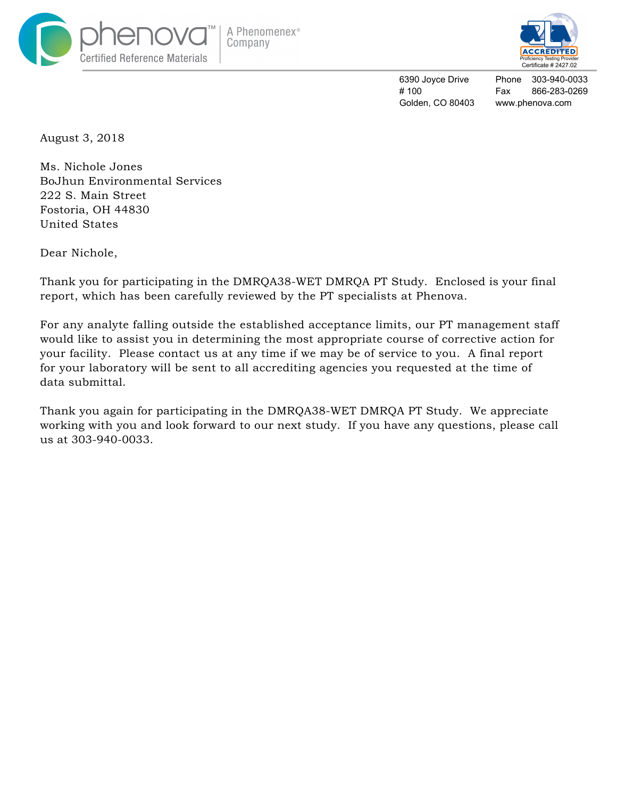



6390 Joyce Drive # 100 Golden, CO 80403

Phone 303-940-0033 Fax 866-283-0269 www.phenova.com

August 3, 2018

Ms. Nichole Jones BoJhun Environmental Services 222 S. Main Street Fostoria, OH 44830 United States

Dear Nichole,

Thank you for participating in the DMRQA38-WET DMRQA PT Study. Enclosed is your final report, which has been carefully reviewed by the PT specialists at Phenova.

For any analyte falling outside the established acceptance limits, our PT management staff would like to assist you in determining the most appropriate course of corrective action for your facility. Please contact us at any time if we may be of service to you. A final report for your laboratory will be sent to all accrediting agencies you requested at the time of data submittal.

Thank you again for participating in the DMRQA38-WET DMRQA PT Study. We appreciate working with you and look forward to our next study. If you have any questions, please call us at 303-940-0033.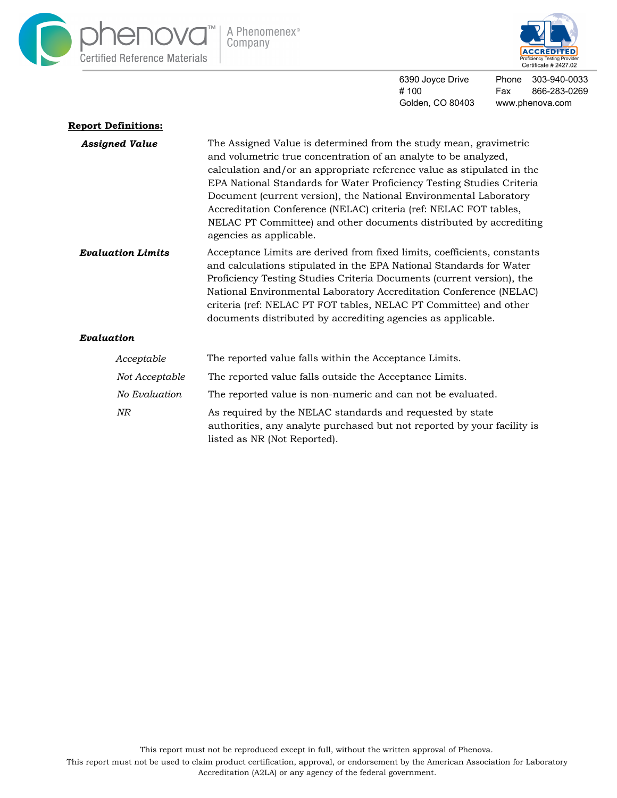



6390 Joyce Drive # 100 Golden, CO 80403

Phone 303-940-0033 Fax 866-283-0269 www.phenova.com

| <b>Report Definitions:</b> |                                                                                                                                                                                                                                                                                                                                                                                                                                                                                                                                    |  |  |  |  |  |
|----------------------------|------------------------------------------------------------------------------------------------------------------------------------------------------------------------------------------------------------------------------------------------------------------------------------------------------------------------------------------------------------------------------------------------------------------------------------------------------------------------------------------------------------------------------------|--|--|--|--|--|
| <b>Assigned Value</b>      | The Assigned Value is determined from the study mean, gravimetric<br>and volumetric true concentration of an analyte to be analyzed,<br>calculation and/or an appropriate reference value as stipulated in the<br>EPA National Standards for Water Proficiency Testing Studies Criteria<br>Document (current version), the National Environmental Laboratory<br>Accreditation Conference (NELAC) criteria (ref: NELAC FOT tables,<br>NELAC PT Committee) and other documents distributed by accrediting<br>agencies as applicable. |  |  |  |  |  |
| <b>Evaluation Limits</b>   | Acceptance Limits are derived from fixed limits, coefficients, constants<br>and calculations stipulated in the EPA National Standards for Water<br>Proficiency Testing Studies Criteria Documents (current version), the<br>National Environmental Laboratory Accreditation Conference (NELAC)<br>criteria (ref: NELAC PT FOT tables, NELAC PT Committee) and other<br>documents distributed by accrediting agencies as applicable.                                                                                                |  |  |  |  |  |
| Evaluation                 |                                                                                                                                                                                                                                                                                                                                                                                                                                                                                                                                    |  |  |  |  |  |
| Acceptable                 | The reported value falls within the Acceptance Limits.                                                                                                                                                                                                                                                                                                                                                                                                                                                                             |  |  |  |  |  |
| Not Acceptable             | The reported value falls outside the Acceptance Limits.                                                                                                                                                                                                                                                                                                                                                                                                                                                                            |  |  |  |  |  |
| No Evaluation              | The reported value is non-numeric and can not be evaluated.                                                                                                                                                                                                                                                                                                                                                                                                                                                                        |  |  |  |  |  |
| NR                         | As required by the NELAC standards and requested by state<br>authorities, any analyte purchased but not reported by your facility is                                                                                                                                                                                                                                                                                                                                                                                               |  |  |  |  |  |

listed as NR (Not Reported).

This report must not be reproduced except in full, without the written approval of Phenova.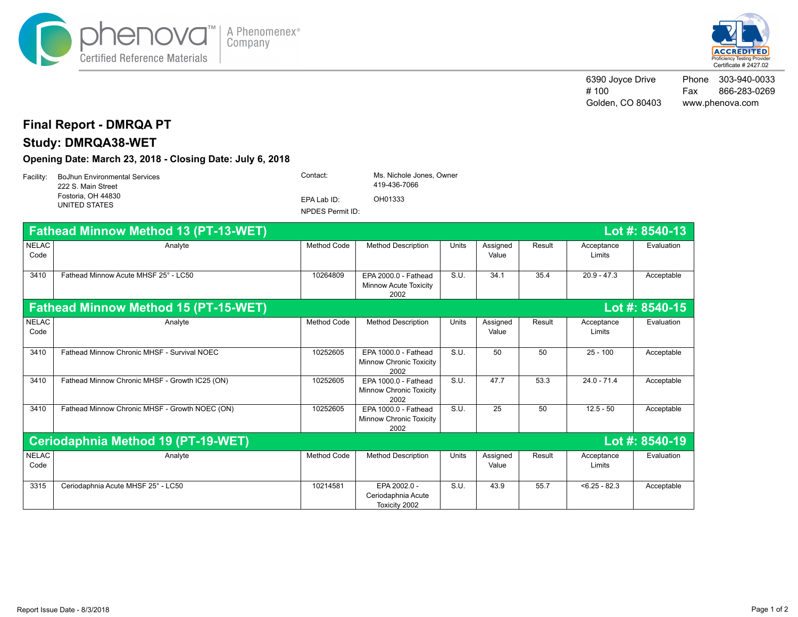



6390 Joyce Drive # 100 Golden, CO 80403 Phone 303-940-0033 Fax 866-283-0269 www.phenova.com

## **Final Report - DMRQA PT**

# **Study: DMRQA38-WET**

### **Opening Date: March 23, 2018 - Closing Date: July 6, 2018**

|  | Facility: BoJhun Environmental Services<br>222 S. Main Street | Contact:         | Ms. Nichole Jones. Owner<br>419-436-7066 |  |
|--|---------------------------------------------------------------|------------------|------------------------------------------|--|
|  | Fostoria. OH 44830<br>UNITED STATES                           | EPA Lab ID:      | OH01333                                  |  |
|  |                                                               | NPDES Permit ID: |                                          |  |

|                      | <b>Fathead Minnow Method 13 (PT-13-WET)</b><br>Lot #: 8540-13 |                    |                                                              |              |                   |        |                      |            |
|----------------------|---------------------------------------------------------------|--------------------|--------------------------------------------------------------|--------------|-------------------|--------|----------------------|------------|
| <b>NELAC</b><br>Code | Analyte                                                       | <b>Method Code</b> | <b>Method Description</b>                                    | <b>Units</b> | Assigned<br>Value | Result | Acceptance<br>Limits | Evaluation |
| 3410                 | Fathead Minnow Acute MHSF 25° - LC50                          | 10264809           | EPA 2000.0 - Fathead<br><b>Minnow Acute Toxicity</b><br>2002 | S.U.         | 34.1              | 35.4   | $20.9 - 47.3$        | Acceptable |
|                      | <b>Fathead Minnow Method 15 (PT-15-WET)</b><br>Lot #: 8540-15 |                    |                                                              |              |                   |        |                      |            |
| <b>NELAC</b><br>Code | Analyte                                                       | <b>Method Code</b> | <b>Method Description</b>                                    | Units        | Assigned<br>Value | Result | Acceptance<br>Limits | Evaluation |
| 3410                 | Fathead Minnow Chronic MHSF - Survival NOEC                   | 10252605           | EPA 1000.0 - Fathead<br>Minnow Chronic Toxicity<br>2002      | S.U.         | 50                | 50     | $25 - 100$           | Acceptable |
| 3410                 | Fathead Minnow Chronic MHSF - Growth IC25 (ON)                | 10252605           | EPA 1000.0 - Fathead<br>Minnow Chronic Toxicity<br>2002      | S.U.         | 47.7              | 53.3   | $24.0 - 71.4$        | Acceptable |
| 3410                 | Fathead Minnow Chronic MHSF - Growth NOEC (ON)                | 10252605           | EPA 1000.0 - Fathead<br>Minnow Chronic Toxicity<br>2002      | S.U.         | 25                | 50     | $12.5 - 50$          | Acceptable |
|                      | Ceriodaphnia Method 19 (PT-19-WET)<br>Lot #: 8540-19          |                    |                                                              |              |                   |        |                      |            |
| <b>NELAC</b><br>Code | Analyte                                                       | <b>Method Code</b> | <b>Method Description</b>                                    | <b>Units</b> | Assigned<br>Value | Result | Acceptance<br>Limits | Evaluation |
| 3315                 | Ceriodaphnia Acute MHSF 25° - LC50                            | 10214581           | EPA 2002.0 -<br>Ceriodaphnia Acute<br>Toxicity 2002          | S.U.         | 43.9              | 55.7   | $< 6.25 - 82.3$      | Acceptable |